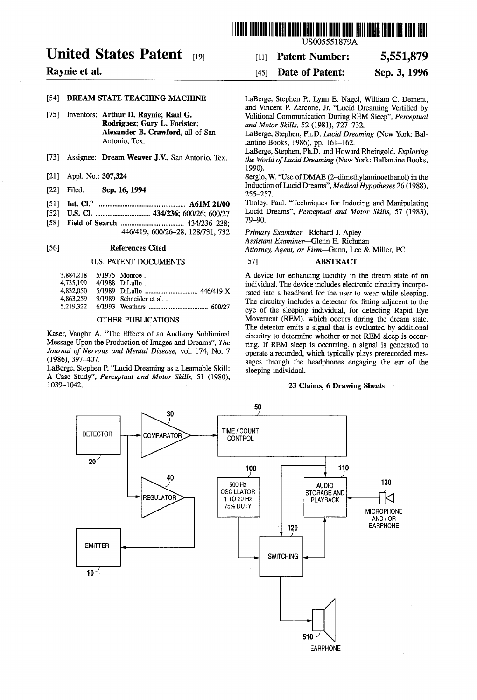# United States Patent

# Raynie et al.

#### (54) DREAM STATE TEACHING MACHINE

- 75) Inventors: Arthur D. Raynie; Raul G. Rodriguez, Gary L. Forister; Alexander B. Crawford, all of San Antonio, Tex.
- [73] Assignee: Dream Weaver J.V., San Antonio, Tex.
- [21] Appl. No.: 307,324
- [22] Filed: Sep. 16, 1994
- (51) Int. Cl. ............................. A61M 21/00
- 52 U.S. Cl. .................. ... 434/236; 600/26; 600/27
- 58) Field of Search .................................... 434/236-238; 446/419; 600/26-28; 128/731, 732

#### 56) References Cited

#### U.S. PATENT DOCUMENTS

| 3,884,218 5/1975 Monroe.  |                                   |
|---------------------------|-----------------------------------|
| 4.735.199 4/1988 DiLullo. |                                   |
|                           |                                   |
|                           | 4.863.259 9/1989 Schneider et al. |
|                           |                                   |
|                           |                                   |

### OTHER PUBLICATIONS

Kaser, Vaughn A. "The Effects of an Auditory Subliminal Message Upon the Production of Images and Dreams', The Journal of Nervous and Mental Disease, vol. 174, No. 7 (1986), 397-407.

LaBerge, Stephen P. "Lucid Dreaming as a Learnable Skill: A Case Study", Perceptual and Motor Skills, 51 (1980), 1039-1042,



(11) Patent Number: 5,551,879

#### [45] **Date of Patent:** Sep. 3, 1996

LaBerge, Stephen P., Lynn E. Nagel, William C. Dement, and Vincent P. Zarcone, Jr. "Lucid Dreaming Vertified by Volitional Communication During REM Sleep", Perceptual and Motor Skills, 52 (1981), 727-732.

LaBerge, Stephen, Ph.D. Lucid Dreaming (New York: Bal lantine Books, 1986), pp. 161-162.

LaBerge, Stephen, Ph.D. and Howard Rheingold. Exploring the World of Lucid Dreaming (New York: Ballantine Books, 1990).

Sergio, W. "Use of DMAE (2-dimethylaminoethanol) in the Induction of Lucid Dreams", Medical Hypotheses 26 (1988), 255-257.

Tholey, Paul. "Techniques for Inducing and Manipulating Lucid Dreams", Perceptual and Motor Skills, 57 (1983), 79-90.

Primary Examiner-Richard J. Apley

Assistant Examiner-Glenn E. Richman

Attorney, Agent, or Firm-Gunn, Lee & Miller, PC

#### 57 ABSTRACT

A device for enhancing lucidity in the dream state of an individual. The device includes electronic circuitry incorporated into a headband for the user to wear while sleeping. The circuitry includes a detector for fitting adjacent to the eye of the sleeping individual, for detecting Rapid Eye Movement (REM), which occurs during the dream state. The detector emits a signal that is evaluated by additional circuitry to determine whether or not REM sleep is occur ring. If REM sleep is occurring, a signal is generated to operate a recorded, which typically plays prerecorded mes sages through the headphones engaging the ear of the sleeping individual.

#### 23 Claims, 6 Drawing Sheets

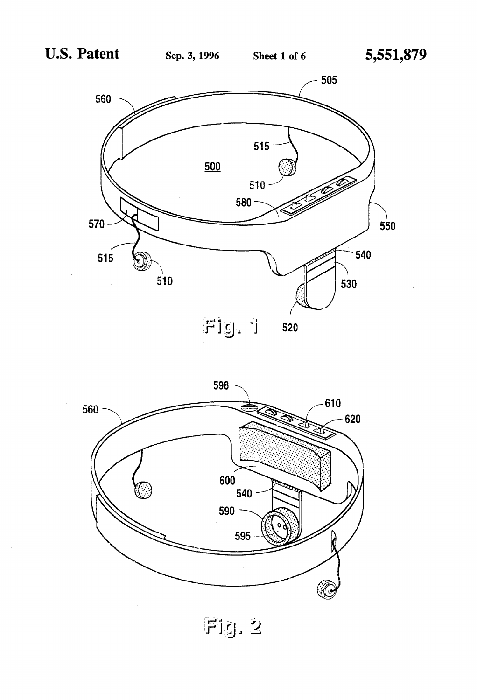



Fig. 2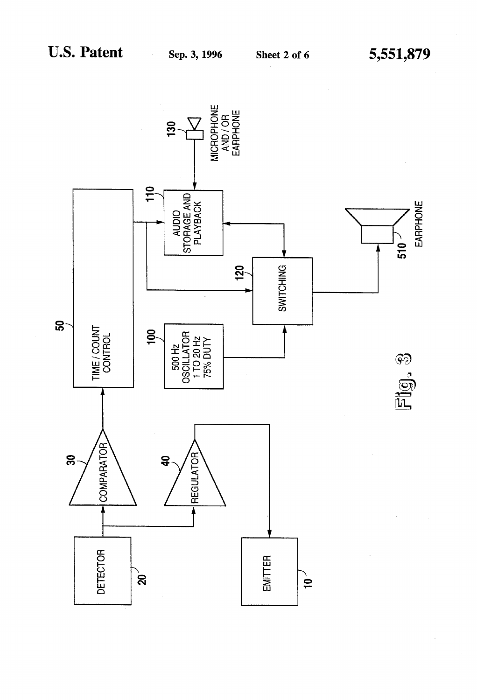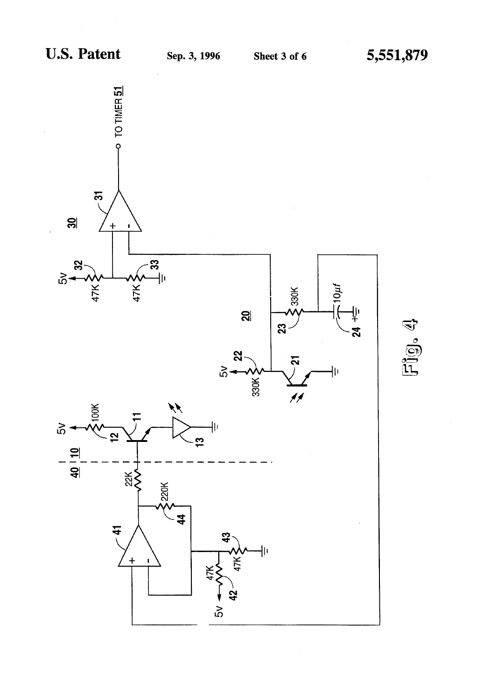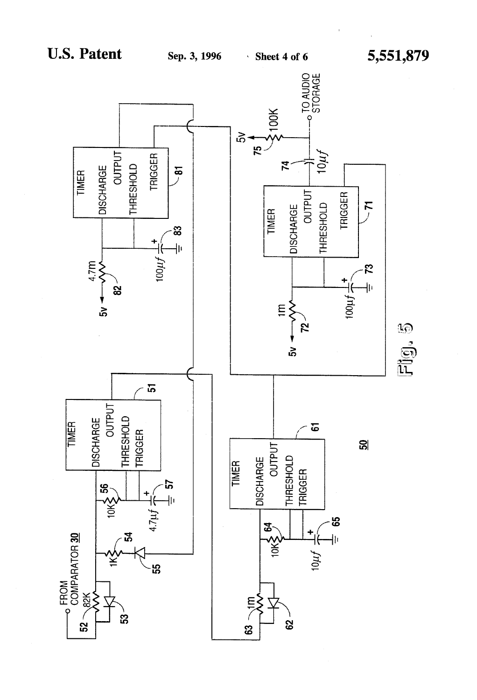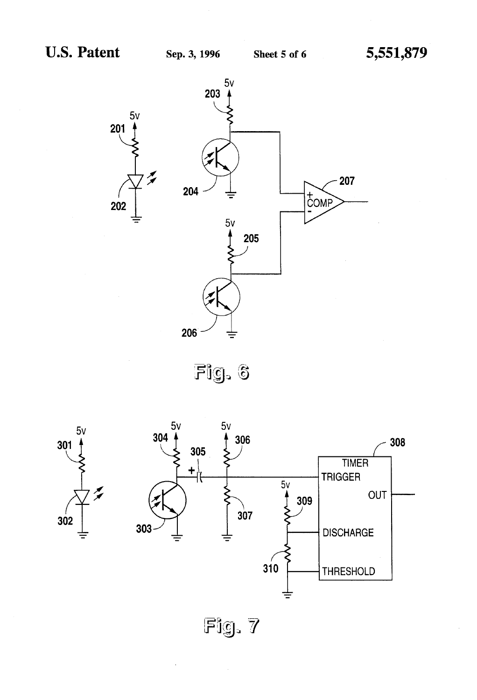

Fig. 6





Fig. 7

 $\bar{z}$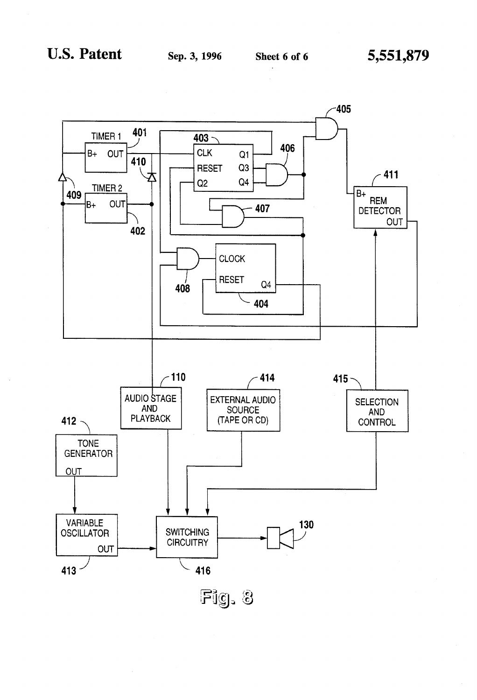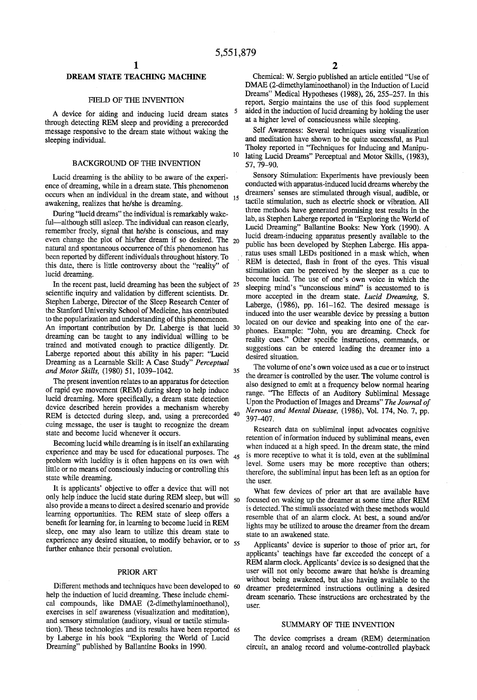10

45

# DREAM STATE TEACHING MACHINE

#### FIELD OF THE INVENTION

A device for aiding and inducing lucid dream states through detecting REM sleep and providing a prerecorded message responsive to the dream state without waking the sleeping individual.

#### BACKGROUND OF THE INVENTION

Lucid dreaming is the ability to be aware of the experi ence of dreaming, while in a dream state. This phenomenon occurs when an individual in the dream state, and without  $_{15}$ awakening, realizes that he/she is dreaming.

During "lucid dreams' the individual is remarkably wake ful—although still asleep. The individual can reason clearly, remember freely, signal that he/she is conscious, and may even change the plot of his/her dream if so desired. The 20 natural and spontaneous occurrence of this phenomenon has been reported by different individuals throughout history. To this date, there is little controversy about the "reality" of lucid dreaming.

In the recent past, lucid dreaming has been the subject of 25 scientific inquiry and validation by different scientists. Dr. Stephen Laberge, Director of the Sleep Research Center of the Stanford University School of Medicine, has contributed to the popularization and understanding of this phenomenon. An important contribution by Dr. Laberge is that lucid 30 dreaming can be taught to any individual willing to be trained and motivated enough to practice diligently. Dr. Laberge reported about this ability in his paper: "Lucid Dreaming as a Learnable Skill: A Case Study" Perceptual and Motor Skills, (1980) 51, 1039-1042. 35

The present invention relates to an apparatus for detection of rapid eye movement (REM) during sleep to help induce lucid dreaming. More specifically, a dream state detection device described herein provides a mechanism whereby REM is detected during sleep, and, using a prerecorded cuing message, the user is taught to recognize the dream state and become lucid whenever it occurs. 40

Becoming lucid while dreaming is in itself an exhilarating experience and may be used for educational purposes. The problem with lucidity is it often happens on its own with little or no means of consciously inducing or controlling this state while dreaming.

It is applicants' objective to offer a device that will not only help induce the lucid state during REM sleep, but will  $_{50}$ also provide a means to direct a desired scenario and provide learning opportunities. The REM state of sleep offers a benefit for learning for, in learning to become lucid in REM sleep, one may also learn to utilize this dream state to experience any desired situation, to modify behavior, or to  $_{55}$ further enhance their personal evolution.

#### PRIOR ART

Different methods and techniques have been developed to 60 help the induction of lucid dreaming. These include chemi cal compounds, like DMAE (2-dimethylaminoethanol), exercises in self awareness (visualization and meditation), and sensory stimulation (auditory, visual or tactile stimula by Laberge in his book "Exploring the World of Lucid Dreaming" published by Ballantine Books in 1990. tion). These technologies and its results have been reported 65

Chemical: W. Sergio published an article entitled "Use of DMAE (2-dimethylaminoethanol) in the Induction of Lucid Dreams'' Medical Hypotheses (1988), 26, 255-257. In this report, Sergio maintains the use of this food supplement aided in the induction of lucid dreaming by holding the user at a higher level of consciousness while sleeping.

Self Awareness: Several techniques using visualization and meditation have shown to be quite successful, as Paul Tholey reported in "Techniques for Inducing and Manipulating Lucid Dreams" Perceptual and Motor Skills, (1983), 57, 79-90.

Sensory Stimulation: Experiments have previously been conducted with apparatus-induced lucid dreams whereby the dreamers' senses are stimulated through visual, audible, or tactile stimulation, such as electric shock or vibration. All three methods have generated promising test results in the lab, as Stephen Laberge reported in "Exploring the World of Lucid Dreaming' Ballantine Books: New York (1990). A lucid dream-inducing apparatus presently available to the public has been developed by Stephen Laberge. His appa ratus uses small LEDs positioned in a mask which, when REM is detected, flash in front of the eyes. This visual stimulation can be perceived by the sleeper as a cue to become lucid. The use of one's own voice in which the sleeping mind's "unconscious mind" is accustomed to is more accepted in the dream state. Lucid Dreaming, S. Laberge, (1986), pp. 161-162. The desired message is induced into the user wearable device by pressing a button located on our device and speaking into one of the ear phones. Example: "John, you are dreaming. Check for reality cues." Other specific instructions, commands, or suggestions can be entered leading the dreamer into a desired situation.

The volume of one's own voice used as a cue or to instruct the dreamer is controlled by the user. The volume control is also designed to emit at a frequency below normal hearing range. "The Effects of an Auditory Subliminal Message Upon the Production of Images and Dreams" The Journal of Nervous and Mental Disease, (1986), Vol. 174, No. 7, pp. 397-407.

Research data on subliminal input advocates cognitive retention of information induced by subliminal means, even when induced at a high speed. In the dream state, the mind is more receptive to what it is told, even at the subliminal level. Some users may be more receptive than others; therefore, the subliminal input has been left as an option for the user.

What few devices of prior art that are available have focused on waking up the dreamer at some time after REM is detected. The stimuli associated with these methods would resemble that of an alarm clock. At best, a sound and/or lights may be utilized to arouse the dreamer from the dream state to an awakened state.

Applicants' device is superior to those of prior art, for applicants' teachings have far exceeded the concept of a REM alarm clock. Applicants' device is so designed that the user will not only become aware that he/she is dreaming without being awakened, but also having available to the dreamer predetermined instructions outlining a desired dream scenario. These instructions are orchestrated by the user.

## SUMMARY OF THE INVENTION

The device comprises a dream (REM) determination circuit, an analog record and volume-controlled playback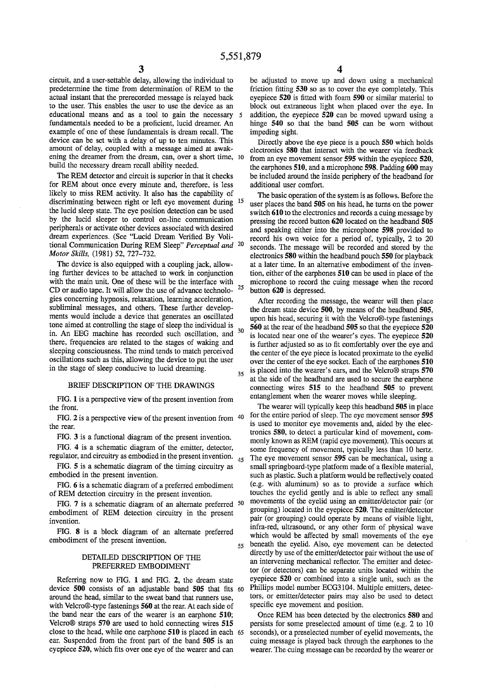circuit, and a user-settable delay, allowing the individual to predetermine the time from determination of REM to the actual instant that the prerecorded message is relayed back to the user. This enables the user to use the device as an educational means and as a tool to gain the necessary  $\overline{5}$ fundamentals needed to be a proficient, lucid dreamer. An example of one of these fundamentals is dream recall. The device can be set with a delay of up to ten minutes. This amount of delay, coupled with a message aimed at awak ening the dreamer from the dream, can, over a short time, 10 build the necessary dream recall ability needed.

The REM detector and circuit is superior in that it checks for REM about once every minute and, therefore, is less likely to miss REM activity. It also has the capability of discriminating between right or left eye movement during 15 the lucid sleep state. The eye position detection can be used by the lucid sleeper to control on-line communication peripherals or activate other devices associated with desired dream experiences. (See "Lucid Dream Verified By Voli tional Communication During REM Sleep" *Perceptual and* <sup>20</sup> Motor Skills, (1981) 52, 727-732.

The device is also equipped with a coupling jack, allow ing further devices to be attached to work in conjunction with the main unit. One of these will be the interface with CD or audio tape. It will allow the use of advance technolo- 25 gies concerning hypnosis, relaxation, learning acceleration, subliminal messages, and others. These further develop ments would include a device that generates an oscillated tone aimed at controlling the stage of sleep the individual is in. An EEG machine has recorded such oscillation, and there, frequencies are related to the stages of waking and sleeping consciousness. The mind tends to match perceived oscillations such as this, allowing the device to put the user in the stage of sleep conducive to lucid dreaming. 30 35

#### BRIEF DESCRIPTION OF THE DRAWINGS

FIG. 1 is a perspective view of the present invention from the front.

FIG. 2 is a perspective view of the present invention from  $40$ the rear.

FIG. 3 is a functional diagram of the present invention.<br>FIG. 4 is a schematic diagram of the emitter, detector, regulator, and circuitry as embodied in the present invention. 45

FIG. 5 is a schematic diagram of the timing circuitry as embodied in the present invention.

FIG. 6 is a schematic diagram of a preferred embodiment of REM detection circuitry in the present invention.

embodiment of REM detection circuitry in the present invention. FIG. 7 is a schematic diagram of an alternate preferred 50

FIG. 8 is a block diagram of an alternate preferred embodiment of the present invention.

#### DETAILED DESCRIPTION OF THE PREFERRED EMBODIMENT

Referring now to FIG. 1 and FIG. 2, the dream state device 500 consists of an adjustable band 505 that fits 60 around the head, similar to the sweat band that runners use, with Velcro®-type fastenings 560 at the rear. At each side of the band near the ears of the wearer is an earphone 510, Velcro<sup>®</sup> straps 570 are used to hold connecting wires 515 close to the head, while one earphone 510 is placed in each 65 ear. Suspended from the front part of the band 505 is an eyepiece 520, which fits over one eye of the wearer and can

be adjusted to move up and down using a mechanical friction fitting 530 so as to cover the eye completely. This eyepiece 520 is fitted with foam 590 or similar material to block out extraneous light when placed over the eye. In addition, the eyepiece 520 can be moved upward using a hinge 540 so that the band 505 can be worn without impeding sight.

Directly above the eye piece is a pouch 550 which holds electronics 580 that interact with the wearer via feedback<br>from an eye movement sensor 595 within the eyepiece 520, the earphones 510, and a microphone 598. Padding 600 may be included around the inside periphery of the headband for additional user comfort.

The basic operation of the system is as follows. Before the user places the band 505 on his head, he turns on the power switch 610 to the electronics and records a cuing message by pressing the record button 620 located on the headband 505 and speaking either into the microphone 598 provided to record his own voice for a period of, typically, 2 to 20 seconds. The message will be recorded and stored by the electronics 580 within the headband pouch 550 for playback at a later time. In an alternative embodiment of the inven tion, either of the earphones 510 can be used in place of the microphone to record the cuing message when the record button 620 is depressed.

After recording the message, the wearer will then place the dream state device 500, by means of the headband 505, upon his head, securing it with the Velcro®-type fastenings 560 at the rear of the headband 505 so that the eyepiece 520 is located near one of the wearer's eyes. The eyepiece 520 is further adjusted so as to fit comfortably over the eye and the center of the eye piece is located proximate to the eyelid over the center of the eye socket. Each of the earphones 510 is placed into the wearer's ears, and the Velcro $@$  straps  $570$  at the side of the headband are used to secure the earphone connecting wires 515 to the headband 505 to prevent entanglement when the wearer moves while sleeping.

which would be affected by small movements of the eye<br>55 beneath the eyelid. Also, eye movement can be detected The wearer will typically keep this headband 505 in place for the entire period of sleep. The eye movement sensor 595 is used to monitor eye movements and, aided by the elec tronics 580, to detect a particular kind of movement, com monly known as REM (rapid eye movement). This occurs at some frequency of movement, typically less than 10 hertz. The eye movement sensor 595 can be mechanical, using a small springboard-type platform made of a flexible material, such as plastic. Such a platform would be reflectively coated (e.g. with aluminum) so as to provide a surface which touches the eyelid gently and is able to reflect any small movements of the eyelid using an emitter/detector pair (or grouping) located in the eyepiece 520. The emitter/detector pair (or grouping) could operate by means of visible light, infra-red, ultrasound, or any other form of physical wave directly by use of the emitter/detector pair without the use of an intervening mechanical reflector. The emitter and detec tor (or detectors) can be separate units located within the eyepiece 520 or combined into a single unit, such as the Phillips model number ECG3104. Multiple emitters, detec tors, or emitter/detector pairs may also be used to detect specific eye movement and position.

Once REM has been detected by the electronics 580 and persists for some preselected amount of time (e.g. 2 to 10 seconds), or a preselected number of eyelid movements, the cuing message is played back through the earphones to the wearer. The cuing message can be recorded by the wearer or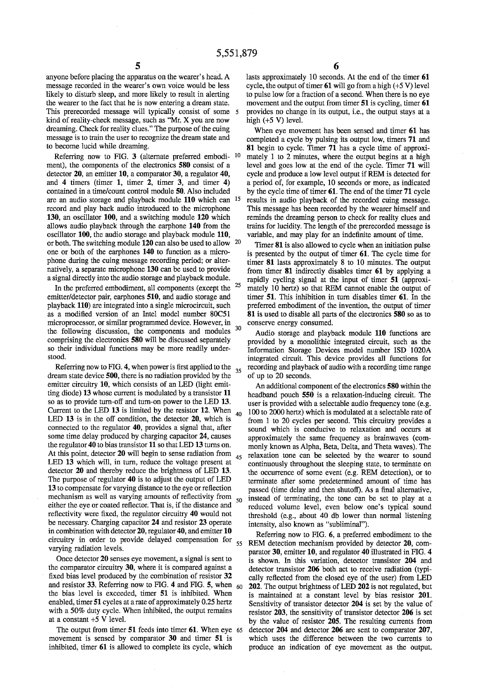anyone before placing the apparatus on the wearer's head. A message recorded in the wearer's own voice would be less likely to disturb sleep, and more likely to result in alerting the wearer to the fact that he is now entering a dream state. This prerecorded message will typically consist of some 5 kind of reality-check message, such as "Mr. X you are now dreaming. Check for reality clues.' The purpose of the cuing message is to train the user to recognize the dream state and to become lucid while dreaming.

Referring now to FIG.  $3$  (alternate preferred embodi-  $10$ ) ment), the components of the electronics 580 consist of a detector 20, an emitter 10, a comparator 30, a regulator 40, and 4 timers (timer 1, timer 2, timer 3, and timer 4) contained in a time/count control module 50. Also included are an audio storage and playback module 110 which can 15 record and play back audio introduced to the microphone 130, an oscillator 100, and a switching module 120 which allows audio playback through the earphone 140 from the oscillator 100, the audio storage and playback module 110, or both. The switching module 120 can also be used to allow one or both of the earphones 140 to function as a micro phone during the cuing message recording period; or alter natively, a separate microphone 130 can be used to provide a signal directly into the audio storage and playback module. 20

In the preferred embodiment, all components (except the emitter/detector pair, earphones 510, and audio storage and playback 110) are integrated into a single microcircuit, such as a modified version of an Intel model number 80C51 microprocessor, or similar programmed device. However, in the following discussion, the components and modules comprising the electronics 580 will be discussed separately so their individual functions may be more readily under stood. 25 30

Referring now to FIG. 4, when power is first applied to the  $35$ dream state device 500, there is no radiation provided by the emitter circuitry 10, which consists of an LED (light emit ting diode) 13 whose current is modulated by a transistor 11 so as to provide turn-off and turn-on power to the LED 13. Current to the LED 13 is limited by the resistor 12. When LED 13 is in the off condition, the detector 20, which is connected to the regulator 40, provides a signal that, after some time delay produced by charging capacitor 24, causes the regulator 40 to bias transistor 11 so that LED 13 turns on. At this point, detector 20 will begin to sense radiation from LED 13 which will, in turn, reduce the voltage present at detector 20 and thereby reduce the brightness of LED 13. The purpose of regulator 40 is to adjust the output of LED 13 to compensate for varying distance to the eye or reflection mechanism as well as varying amounts of reflectivity from 50 either the eye or coated reflector. That is, if the distance and reflectivity were fixed, the regulator circuitry 40 would not be necessary. Charging capacitor 24 and resistor 23 operate in combination with detector 20, regulator 40, and emitter 10 circuitry in order to provide delayed compensation for varying radiation levels. 40 45

Once detector 20 senses eye movement, a signal is sent to the comparator circuitry 30, where it is compared against a fixed bias level produced by the combination of resistor 32 and resistor 33. Referring now to FIG. 4 and FIG.  $5$ , when  $_{60}$ the bias level is exceeded, timer 51 is inhibited. When enabled, timer 51 cycles at a rate of approximately 0.25 hertz with a 50% duty cycle. When inhibited, the output remains at a constant  $+5$  V level.

The output from timer 51 feeds into timer 61. When eye 65 movement is sensed by comparator 30 and timer 51 is inhibited, timer 61 is allowed to complete its cycle, which

lasts approximately 10 seconds. At the end of the timer 61 cycle, the output of timer  $61$  will go from a high  $(+5 \text{ V})$  level to pulse low for a fraction of a second. When there is no eye movement and the output from timer 51 is cycling, timer 61 provides no change in its output, i.e., the output stays at a high  $(+5 V)$  level.

When eye movement has been sensed and timer 61 has completed a cycle by pulsing its output low, timers 71 and 81 begin to cycle. Timer 71 has a cycle time of approxi mately 1 to 2 minutes, where the output begins at a high level and goes low at the end of the cycle. Timer 71 will cycle and produce a low level output if REM is detected for a period of, for example, 10 seconds or more, as indicated<br>by the cycle time of timer 61. The end of the timer 71 cycle results in audio playback of the recorded cuing message. This message has been recorded by the wearer himself and reminds the dreaming person to check for reality clues and trains for lucidity. The length of the prerecorded message is variable, and may play for an indefinite amount of time.

Timer 81 is also allowed to cycle when an initiation pulse is presented by the output of timer 61. The cycle time for timer 81 lasts approximately 8 to 10 minutes. The output from timer 81 indirectly disables timer 61 by applying a rapidly cycling signal at the input of timer 51 (approxi mately 10 hertz) so that REM cannot enable the output of timer 51. This inhibition in turn disables timer 61. In the preferred embodiment of the invention, the output of timer 81 is used to disable all parts of the electronics 580 so as to conserve energy consumed.

Audio storage and playback module 110 functions are provided by a monolithic integrated circuit, such as the Information Storage Devices model number ISD 1020A integrated circuit. This device provides all functions for recording and playback of audio with a recording time range of up to 20 seconds.

An additional component of the electronics 580 within the headband pouch 550 is a relaxation-inducing circuit. The user is provided with a selectable audio frequency tone (e.g. 100 to 2000 hertz) which is modulated at a selectable rate of from 1 to 20 cycles per second. This circuitry provides a sound which is conducive to relaxation and occurs at approximately the same frequency as brainwaves (com monly known as Alpha, Beta, Delta, and Theta waves). The relaxation tone can be selected by the wearer to sound continuously throughout the sleeping state, to terminate on the occurrence of some event (e.g. REM detection), or to terminate after some predetermined amount of time has passed (time delay and then shutoff). As a final alternative, instead of terminating, the tone can be set to play at a reduced volume level, even below one's typical sound threshold (e.g., about 40 db lower than normal listening intensity, also known as "subliminal").

55 REM detection mechanism provided by detector 20, com-Referring now to FIG. 6, a preferred embodiment to the parator 30, emitter 10, and regulator 40 illustrated in FIG. 4 is shown. In this variation, detector transistor 204 and detector transistor 206 both act to receive radiation (typically reflected from the closed eye of the user) from LED 202. The output brightness of LED 202 is not regulated, but is maintained at a constant level by bias resistor 201. Sensitivity of transistor detector 204 is set by the value of resistor 203, the sensitivity of transistor detector 206 is set by the value of resistor 205. The resulting currents from detector 204 and detector 206 are sent to comparator 207, which uses the difference between the two currents to produce an indication of eye movement as the output.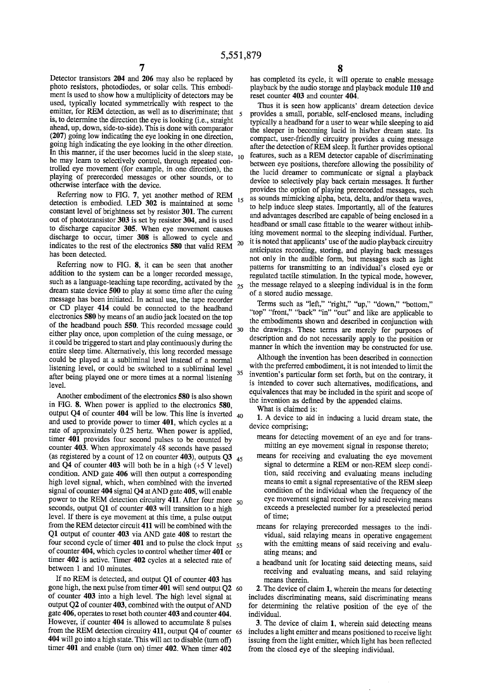$\overline{5}$ 

Detector transistors 204 and 206 may also be replaced by photo resistors, photodiodes, or solar cells. This embodi ment is used to show how a multiplicity of detectors may be used, typically located symmetrically with respect to the emitter, for REM detection, as well as to discriminate; that is, to determine the direction the eye is looking (i.e., straight ahead, up, down, side-to-side). This is done with comparator (207) going low indicating the eye looking in one direction, going high indicating the eye looking in the other direction. In this manner, if the user becomes lu he may learn to selectively control, through repeated controlled eye movement (for example, in one direction), the playing of prerecorded messages or other sounds, or to otherwise interface with the device. 10

Referring now to FIG. 7, yet another method of REM detection is embodied. LED 302 is maintained at some constant level of brightness set by resistor 301. The current out of phototransistor 303 is set by resistor 304, and is used to discharge capacitor 305. When eye movement causes discharge to occur, timer 308 is allowed to cycle and indicates to the rest of the electronics 580 that valid REM has been detected. 15 20

Referring now to FIG. 8, it can be seen that another addition to the system can be a longer recorded message, addition to the system can be a longer recorded message, such as a language-teaching tape recording, activated by the 25 dream state device 500 to play at some time after the cuing message has been initiated. In actual use, the tape recorder or CD player 414 could be connected to the headband electronics 580 by means of an audio jack located on the top of the headband pouch 550. This recorded message could either play once, upon completion of the cuing message, or it could be triggered to start and play continuously during the entire sleep time. Alternatively, this long recorded message could be played at a subliminal level instead of a normal listening level, or could be switched to a subliminal level after being played one or more times at a normal listening level. 30 35

Another embodiment of the electronics 580 is also shown in FIG. 8. When power is applied to the electronics 580, output  $Q<sup>4</sup>$  of counter 404 will be low. This line is inverted  $_{40}$ and used to provide power to timer  $401$ , which cycles at a rate of approximately 0.25 hertz. When power is applied, timer 401 provides four second pulses to be counted by counter 403. When approximately 48 seconds have passed counter 403. When approximately 48 seconds have passed (as registered by a count of  $12$  on counter 403), outputs Q3  $_{45}$ and  $\overline{Q4}$  of counter 403 will both be in a high (+5 V level) condition. AND gate 406 will then output a corresponding high level signal, which, when combined with the inverted signal of counter 404 signal Q4 at AND gate 405, will enable power to the REM detection circuitry 411. After four more  $_{50}$ seconds, output Q1 of counter  $403$  will transition to a high level. If there is eye movement at this time, a pulse output from the REM detector circuit 411 will be combined with the Q1 output of counter 403 via AND gate 408 to restart the Four second cycle of timer  $401$  and to pulse the clock input  $55$ of counter 404, which cycles to control whether timer 401 or timer 402 is active. Timer 402 cycles at a selected rate of between 1 and 10 minutes.

If no REM is detected, and output Q1 of counter 403 has gone high, the next pulse from timer 401 will send output Q2 60 of counter 403 into a high level. The high level signal at output Q2 of counter 403, combined with the output of AND gate 406, operates to reset both counter 403 and counter 404.<br>However, if counter 404 is allowed to accumulate 8 pulses From the REM detection circuitry 411, output Q4 of counter 65 404 will go into a high state. This will act to disable (turn off) timer 401 and enable (turn on) timer 402. When timer 402

has completed its cycle, it will operate to enable message playback by the audio storage and playback module 110 and reset counter 403 and counter 404.

Thus it is seen how applicants' dream detection device<br>provides a small, portable, self-enclosed means, including typically a headband for a user to wear while sleeping to aid the sleeper in becoming lucid in his/her dream state. Its compact, user-friendly circuitry provides a cuing message after the detection of REM sleep. It further provides optional features, such as a REM detector capable of discriminating<br>between eye positions, therefore allowing the possibility of<br>the lucid dreamer to communicate or signal a playback device to selectively play back certain messages. It further provides the option of playing prerecorded messages, such as sounds mimicking alpha, beta, delta, and/or theta waves, to help induce sleep states. Importantly, all of the features and advantages described are capable of being enclosed in a headband or small case fittable to the wearer without inhib iting movement normal to the sleeping individual. Further, it is noted that applicants' use of the audio playback circuitry anticipates recording, storing, and playing back messages not only in the audible form, but messages such as light patterns for transmitting to an individual's closed eye or regulated tactile stimulation. In the typical mode, however, the message relayed to a sleeping individual is in the form of a stored audio message.

Terms such as "left," "right," "up," "down," "bottom," we find the back in out and like are applicable to the embodiments shown and described in conjunction with the drawings. These terms are merely for purposes of description and do not necessarily apply to the position or manner in which the invention may be constructed for use.

Although the invention has been described in connection with the preferred embodiment, it is not intended to limit the invention's particular form set forth, but on the contrary, it is intended to cover such alternatives, modifications, and equivalences that may be included in the spirit and scope of the invention as defined by the appended claims.

What is claimed is:

1. A device to aid in inducing a lucid dream state, the device comprising;

means for detecting movement of an eye and for trans mitting an eye movement signal in response thereto;

- means for receiving and evaluating the eye movement signal to determine a REM or non-REM sleep condi tion, said receiving and evaluating means including<br>means to emit a signal representative of the REM sleep condition of the individual when the frequency of the eye movement signal received by said receiving means exceeds a preselected number for a preselected period of time;
- means for relaying prerecorded messages to the individual, said relaying means in operative engagement with the emitting means of said receiving and evaluating means; and
- a headband unit for locating said detecting means, said receiving and evaluating means, and said relaying

means therein.<br>2. The device of claim 1, wherein the means for detecting includes discriminating means, said discriminating means for determining the relative position of the eye of the individual.

3. The device of claim 1, wherein said detecting means includes a light emitter and means positioned to receive light issuing from the light emitter, which light has been reflected from the closed eye of the sleeping individual.